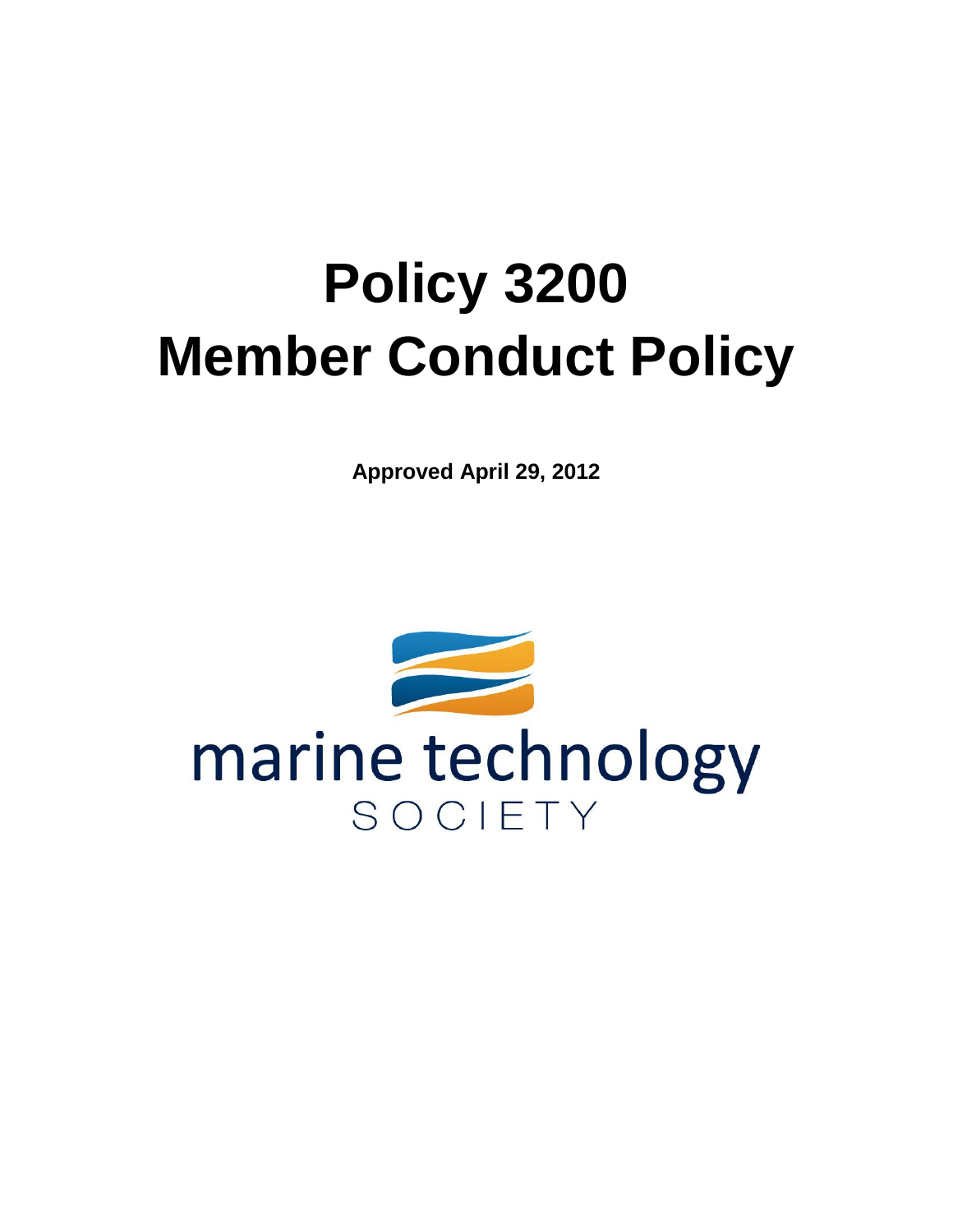# **Policy 3200 Member Conduct Policy**

**Approved April 29, 2012**

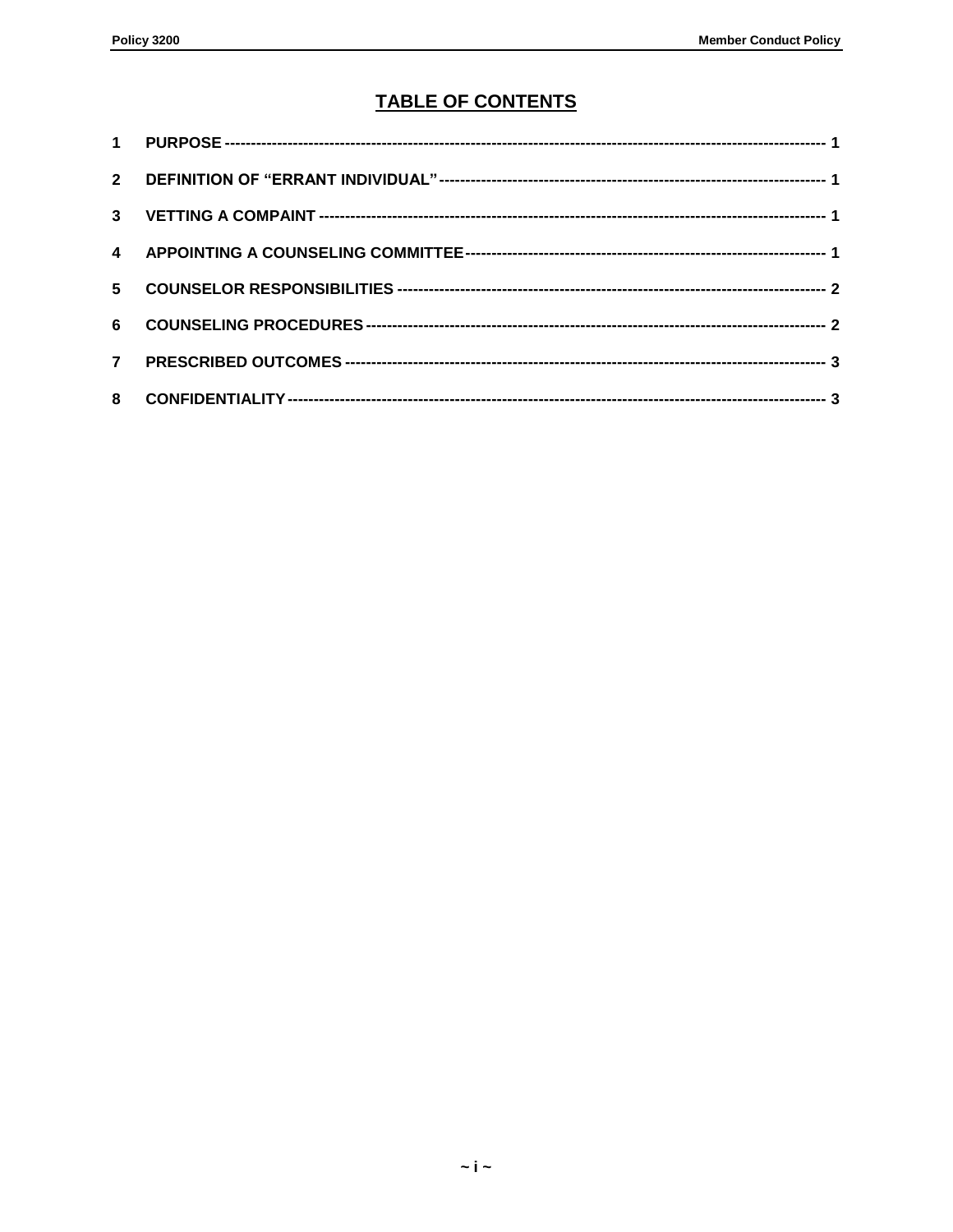### **TABLE OF CONTENTS**

| 5 <sup>1</sup> |  |
|----------------|--|
| 6              |  |
| $\overline{7}$ |  |
|                |  |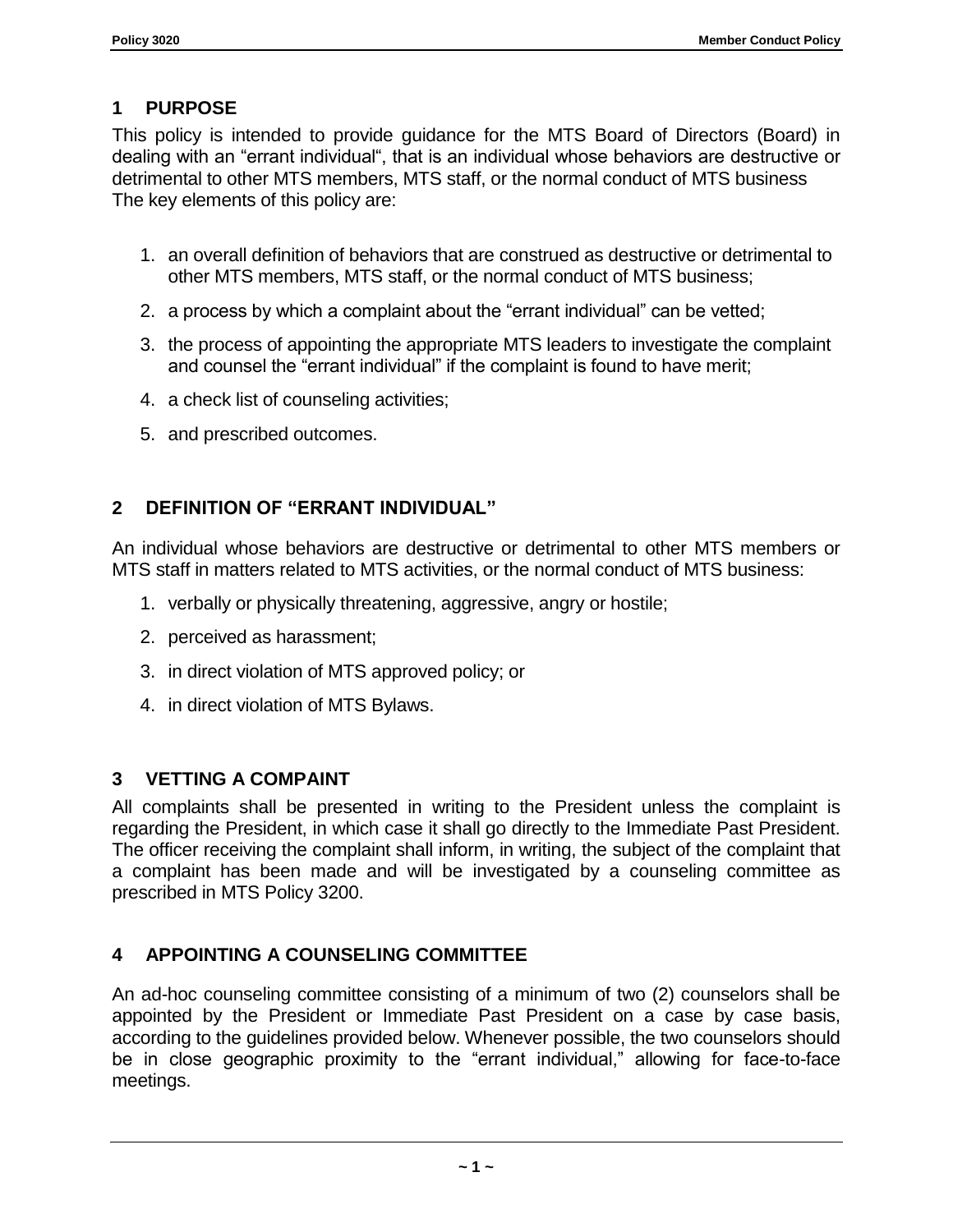## <span id="page-2-0"></span>**1 PURPOSE**

This policy is intended to provide guidance for the MTS Board of Directors (Board) in dealing with an "errant individual", that is an individual whose behaviors are destructive or detrimental to other MTS members, MTS staff, or the normal conduct of MTS business The key elements of this policy are:

- 1. an overall definition of behaviors that are construed as destructive or detrimental to other MTS members, MTS staff, or the normal conduct of MTS business;
- 2. a process by which a complaint about the "errant individual" can be vetted;
- 3. the process of appointing the appropriate MTS leaders to investigate the complaint and counsel the "errant individual" if the complaint is found to have merit;
- 4. a check list of counseling activities;
- 5. and prescribed outcomes.

## <span id="page-2-1"></span>**2 DEFINITION OF "ERRANT INDIVIDUAL"**

An individual whose behaviors are destructive or detrimental to other MTS members or MTS staff in matters related to MTS activities, or the normal conduct of MTS business:

- 1. verbally or physically threatening, aggressive, angry or hostile;
- 2. perceived as harassment;
- 3. in direct violation of MTS approved policy; or
- 4. in direct violation of MTS Bylaws.

### <span id="page-2-2"></span>**3 VETTING A COMPAINT**

All complaints shall be presented in writing to the President unless the complaint is regarding the President, in which case it shall go directly to the Immediate Past President. The officer receiving the complaint shall inform, in writing, the subject of the complaint that a complaint has been made and will be investigated by a counseling committee as prescribed in MTS Policy 3200.

### <span id="page-2-3"></span>**4 APPOINTING A COUNSELING COMMITTEE**

An ad-hoc counseling committee consisting of a minimum of two (2) counselors shall be appointed by the President or Immediate Past President on a case by case basis, according to the guidelines provided below. Whenever possible, the two counselors should be in close geographic proximity to the "errant individual," allowing for face-to-face meetings.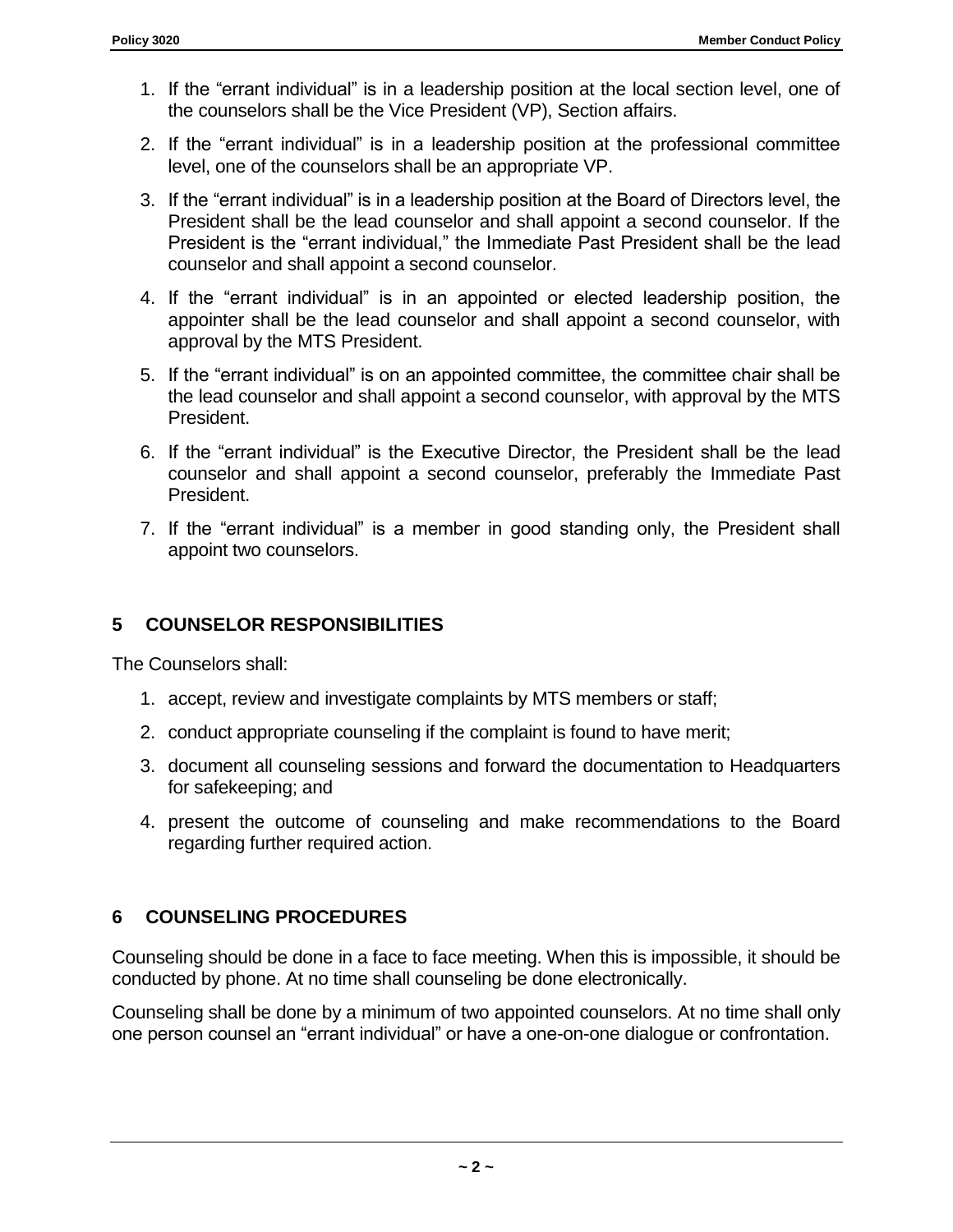- 1. If the "errant individual" is in a leadership position at the local section level, one of the counselors shall be the Vice President (VP), Section affairs.
- 2. If the "errant individual" is in a leadership position at the professional committee level, one of the counselors shall be an appropriate VP.
- 3. If the "errant individual" is in a leadership position at the Board of Directors level, the President shall be the lead counselor and shall appoint a second counselor. If the President is the "errant individual," the Immediate Past President shall be the lead counselor and shall appoint a second counselor.
- 4. If the "errant individual" is in an appointed or elected leadership position, the appointer shall be the lead counselor and shall appoint a second counselor, with approval by the MTS President.
- 5. If the "errant individual" is on an appointed committee, the committee chair shall be the lead counselor and shall appoint a second counselor, with approval by the MTS President.
- 6. If the "errant individual" is the Executive Director, the President shall be the lead counselor and shall appoint a second counselor, preferably the Immediate Past President.
- 7. If the "errant individual" is a member in good standing only, the President shall appoint two counselors.

## <span id="page-3-0"></span>**5 COUNSELOR RESPONSIBILITIES**

The Counselors shall:

- 1. accept, review and investigate complaints by MTS members or staff;
- 2. conduct appropriate counseling if the complaint is found to have merit;
- 3. document all counseling sessions and forward the documentation to Headquarters for safekeeping; and
- 4. present the outcome of counseling and make recommendations to the Board regarding further required action.

### <span id="page-3-1"></span>**6 COUNSELING PROCEDURES**

Counseling should be done in a face to face meeting. When this is impossible, it should be conducted by phone. At no time shall counseling be done electronically.

Counseling shall be done by a minimum of two appointed counselors. At no time shall only one person counsel an "errant individual" or have a one-on-one dialogue or confrontation.